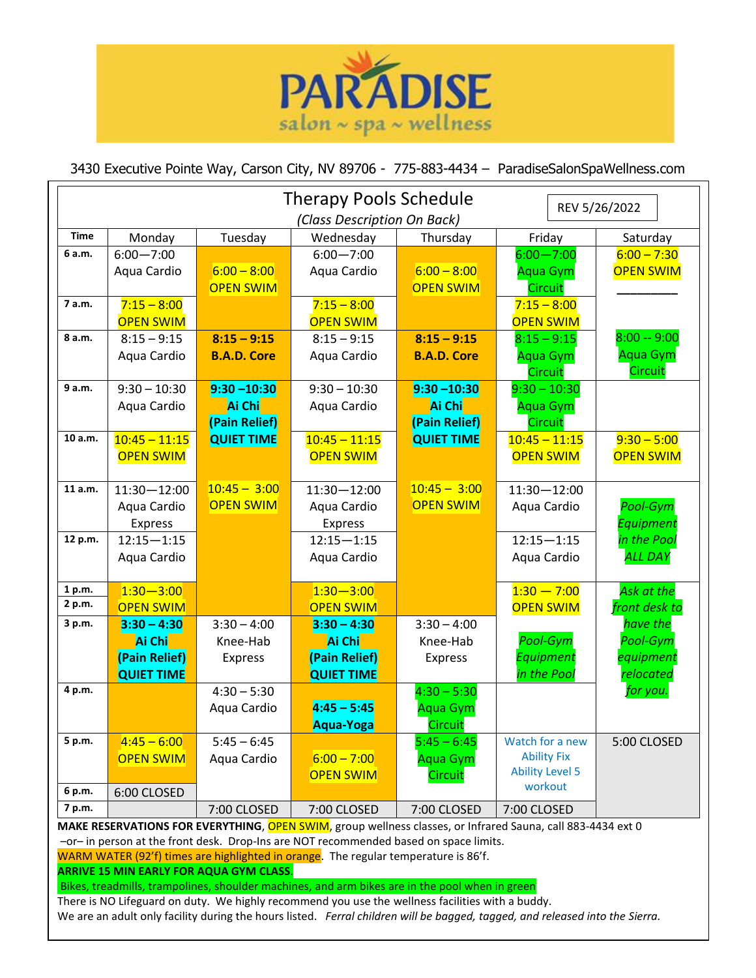

## 3430 Executive Pointe Way, Carson City, NV 89706 - 775-883-4434 – ParadiseSalonSpaWellness.com

| <b>Therapy Pools Schedule</b><br>REV 5/26/2022 |                             |                    |                   |                    |                        |                  |
|------------------------------------------------|-----------------------------|--------------------|-------------------|--------------------|------------------------|------------------|
|                                                | (Class Description On Back) |                    |                   |                    |                        |                  |
| <b>Time</b>                                    | Monday                      | Tuesday            | Wednesday         | Thursday           | Friday                 | Saturday         |
| 6 a.m.                                         | $6:00 - 7:00$               |                    | $6:00 - 7:00$     |                    | $6:00 - 7:00$          | $6:00 - 7:30$    |
|                                                | Aqua Cardio                 | $6:00 - 8:00$      | Aqua Cardio       | $6:00 - 8:00$      | <b>Aqua Gym</b>        | <b>OPEN SWIM</b> |
|                                                |                             | <b>OPEN SWIM</b>   |                   | <b>OPEN SWIM</b>   | <b>Circuit</b>         |                  |
| 7 a.m.                                         | $7:15 - 8:00$               |                    | $7:15 - 8:00$     |                    | $7:15 - 8:00$          |                  |
|                                                | <b>OPEN SWIM</b>            |                    | <b>OPEN SWIM</b>  |                    | <b>OPEN SWIM</b>       |                  |
| 8 a.m.                                         | $8:15 - 9:15$               | $8:15 - 9:15$      | $8:15 - 9:15$     | $8:15 - 9:15$      | $8:15 - 9:15$          | $8:00 - 9:00$    |
|                                                | Aqua Cardio                 | <b>B.A.D. Core</b> | Aqua Cardio       | <b>B.A.D. Core</b> | <b>Aqua Gym</b>        | <b>Aqua Gym</b>  |
|                                                |                             |                    |                   |                    | Circuit                | Circuit          |
| 9 a.m.                                         | $9:30 - 10:30$              | $9:30 - 10:30$     | $9:30 - 10:30$    | $9:30 - 10:30$     | $9:30 - 10:30$         |                  |
|                                                | Aqua Cardio                 | Ai Chi             | Aqua Cardio       | Ai Chi             | <b>Aqua Gym</b>        |                  |
|                                                |                             | (Pain Relief)      |                   | (Pain Relief)      | <b>Circuit</b>         |                  |
| 10 a.m.                                        | $10:45 - 11:15$             | <b>QUIET TIME</b>  | $10:45 - 11:15$   | <b>QUIET TIME</b>  | $10:45 - 11:15$        | $9:30 - 5:00$    |
|                                                | <b>OPEN SWIM</b>            |                    | <b>OPEN SWIM</b>  |                    | <b>OPEN SWIM</b>       | <b>OPEN SWIM</b> |
|                                                |                             |                    |                   |                    |                        |                  |
| 11 a.m.                                        | $11:30 - 12:00$             | $10:45 - 3:00$     | $11:30 - 12:00$   | $10:45 - 3:00$     | $11:30 - 12:00$        |                  |
|                                                | Aqua Cardio                 | <b>OPEN SWIM</b>   | Aqua Cardio       | <b>OPEN SWIM</b>   | Aqua Cardio            | Pool-Gym         |
|                                                | <b>Express</b>              |                    | <b>Express</b>    |                    |                        | Equipment        |
| 12 p.m.                                        | $12:15 - 1:15$              |                    | $12:15 - 1:15$    |                    | $12:15 - 1:15$         | in the Pool      |
|                                                | Aqua Cardio                 |                    | Aqua Cardio       |                    | Aqua Cardio            | <b>ALL DAY</b>   |
|                                                |                             |                    |                   |                    |                        |                  |
| 1 p.m.                                         | $1:30 - 3:00$               |                    | $1:30 - 3:00$     |                    | $1:30 - 7:00$          | Ask at the       |
| 2 p.m.                                         | <b>OPEN SWIM</b>            |                    | <b>OPEN SWIM</b>  |                    | <b>OPEN SWIM</b>       | front desk to    |
| 3 p.m.                                         | $3:30 - 4:30$               | $3:30 - 4:00$      | $3:30 - 4:30$     | $3:30 - 4:00$      |                        | have the         |
|                                                | Ai Chi                      | Knee-Hab           | Ai Chi            | Knee-Hab           | Pool-Gym               | Pool-Gym         |
|                                                | (Pain Relief)               | <b>Express</b>     | (Pain Relief)     | Express            | Equipment              | equipment        |
|                                                | <b>QUIET TIME</b>           |                    | <b>QUIET TIME</b> |                    | in the Pool            | relocated        |
| 4 p.m.                                         |                             | $4:30 - 5:30$      |                   | $4:30 - 5:30$      |                        | for you.         |
|                                                |                             | Aqua Cardio        | $4:45 - 5:45$     | <b>Aqua Gym</b>    |                        |                  |
|                                                |                             |                    | Aqua-Yoga         | <b>Circuit</b>     |                        |                  |
| 5 p.m.                                         | $4:45 - 6:00$               | $5:45 - 6:45$      |                   | $5:45 - 6:45$      | Watch for a new        | 5:00 CLOSED      |
|                                                | <b>OPEN SWIM</b>            | Aqua Cardio        | $6:00 - 7:00$     | <b>Aqua Gym</b>    | <b>Ability Fix</b>     |                  |
|                                                |                             |                    | <b>OPEN SWIM</b>  | <b>Circuit</b>     | <b>Ability Level 5</b> |                  |
| 6 p.m.                                         | 6:00 CLOSED                 |                    |                   |                    | workout                |                  |
| 7 p.m.                                         |                             | 7:00 CLOSED        | 7:00 CLOSED       | 7:00 CLOSED        | 7:00 CLOSED            |                  |

**MAKE RESERVATIONS FOR EVERYTHING**, OPEN SWIM, group wellness classes, or Infrared Sauna, call 883-4434 ext 0

–or– in person at the front desk. Drop-Ins are NOT recommended based on space limits.

WARM WATER (92'f) times are highlighted in orange. The regular temperature is 86'f.

**ARRIVE 15 MIN EARLY FOR AQUA GYM CLASS**.

Bikes, treadmills, trampolines, shoulder machines, and arm bikes are in the pool when in green

There is NO Lifeguard on duty. We highly recommend you use the wellness facilities with a buddy.

We are an adult only facility during the hours listed. *Ferral children will be bagged, tagged, and released into the Sierra.*